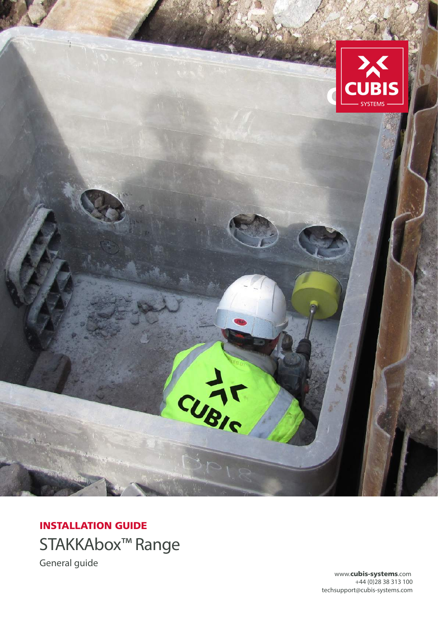

# INSTALLATION GUIDE STAKKAbox™ Range General guide

www.cubis-systems.com +44 (0)28 38 313 100 techsupport@cubis-systems.com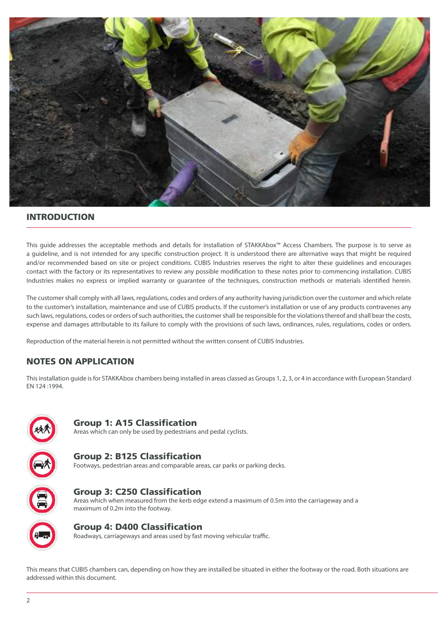

#### INTRODUCTION

This guide addresses the acceptable methods and details for installation of STAKKAbox™ Access Chambers. The purpose is to serve as a guideline, and is not intended for any specific construction project. It is understood there are alternative ways that might be required and/or recommended based on site or project conditions. CUBIS Industries reserves the right to alter these guidelines and encourages contact with the factory or its representatives to review any possible modification to these notes prior to commencing installation. CUBIS Industries makes no express or implied warranty or guarantee of the techniques, construction methods or materials identified herein.

The customer shall comply with all laws, regulations, codes and orders of any authority having jurisdiction over the customer and which relate to the customer's installation, maintenance and use of CUBIS products. If the customer's installation or use of any products contravenes any such laws, regulations, codes or orders of such authorities, the customer shall be responsible for the violations thereof and shall bear the costs, expense and damages attributable to its failure to comply with the provisions of such laws, ordinances, rules, regulations, codes or orders.

Reproduction of the material herein is not permitted without the written consent of CUBIS Industries.

# NOTES ON APPLICATION

This installation guide is for STAKKAbox chambers being installed in areas classed as Groups 1, 2, 3, or 4 in accordance with European Standard EN 124 :1994.



#### Group 1: A15 Classification

Areas which can only be used by pedestrians and pedal cyclists.



Group 3: C250 Classification Areas which when measured from the kerb edge extend a maximum of 0.5m into the carriageway and a maximum of 0.2m into the footway.

# Group 4: D400 Classification

Roadways, carriageways and areas used by fast moving vehicular traffic.

This means that CUBIS chambers can, depending on how they are installed be situated in either the footway or the road. Both situations are addressed within this document.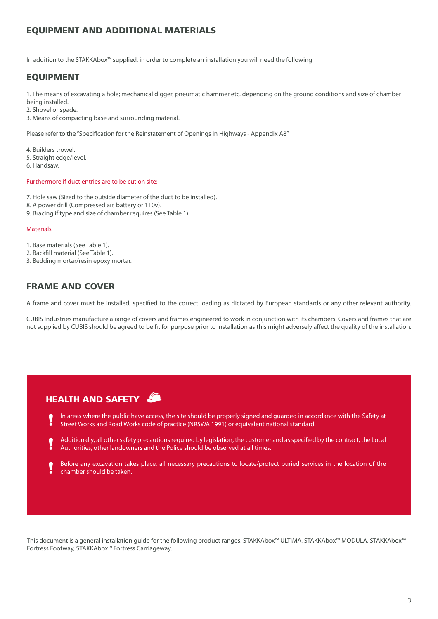In addition to the STAKKAbox™ supplied, in order to complete an installation you will need the following:

### EQUIPMENT

1. The means of excavating a hole; mechanical digger, pneumatic hammer etc. depending on the ground conditions and size of chamber

being installed.

2. Shovel or spade.

3. Means of compacting base and surrounding material.

Please refer to the "Specification for the Reinstatement of Openings in Highways - Appendix A8"

4. Builders trowel.

- 5. Straight edge/level.
- 6. Handsaw.

#### Furthermore if duct entries are to be cut on site:

- 7. Hole saw (Sized to the outside diameter of the duct to be installed).
- 8. A power drill (Compressed air, battery or 110v).
- 9. Bracing if type and size of chamber requires (See Table 1).

#### **Materials**

- 1. Base materials (See Table 1).
- 2. Backfill material (See Table 1).
- 3. Bedding mortar/resin epoxy mortar.

#### FRAME AND COVER

A frame and cover must be installed, specified to the correct loading as dictated by European standards or any other relevant authority.

CUBIS Industries manufacture a range of covers and frames engineered to work in conjunction with its chambers. Covers and frames that are not supplied by CUBIS should be agreed to be fit for purpose prior to installation as this might adversely affect the quality of the installation.

# HEALTH AND SAFETY

- In areas where the public have access, the site should be properly signed and guarded in accordance with the Safety at Street Works and Road Works code of practice (NRSWA 1991) or equivalent national standard.
- Additionally, all other safety precautions required by legislation, the customer and as specified by the contract, the Local Authorities, other landowners and the Police should be observed at all times.
- Before any excavation takes place, all necessary precautions to locate/protect buried services in the location of the chamber should be taken.

This document is a general installation guide for the following product ranges: STAKKAbox™ ULTIMA, STAKKAbox™ MODULA, STAKKAbox™ Fortress Footway, STAKKAbox™ Fortress Carriageway.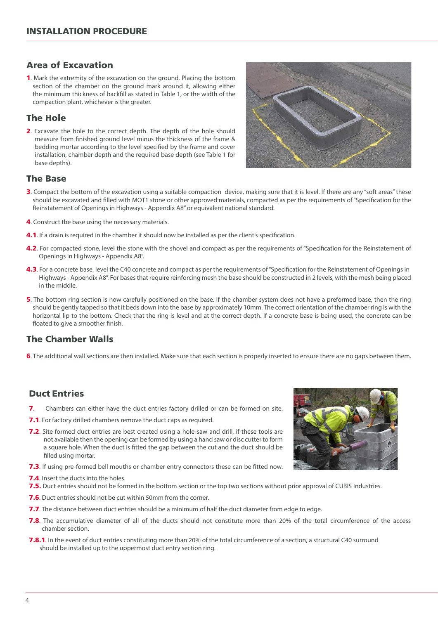### Area of Excavation

1. Mark the extremity of the excavation on the ground. Placing the bottom section of the chamber on the ground mark around it, allowing either the minimum thickness of backfill as stated in Table 1, or the width of the compaction plant, whichever is the greater.

# The Hole

2. Excavate the hole to the correct depth. The depth of the hole should measure from finished ground level minus the thickness of the frame & bedding mortar according to the level specified by the frame and cover installation, chamber depth and the required base depth (see Table 1 for base depths).



#### The Base

- **3.** Compact the bottom of the excavation using a suitable compaction device, making sure that it is level. If there are any "soft areas" these should be excavated and filled with MOT1 stone or other approved materials, compacted as per the requirements of "Specification for the Reinstatement of Openings in Highways - Appendix A8" or equivalent national standard.
- 4. Construct the base using the necessary materials.
- **4.1.** If a drain is required in the chamber it should now be installed as per the client's specification.
- 4.2. For compacted stone, level the stone with the shovel and compact as per the requirements of "Specification for the Reinstatement of Openings in Highways - Appendix A8".
- 4.3. For a concrete base, level the C40 concrete and compact as per the requirements of "Specification for the Reinstatement of Openings in Highways - Appendix A8". For bases that require reinforcing mesh the base should be constructed in 2 levels, with the mesh being placed in the middle.
- 5. The bottom ring section is now carefully positioned on the base. If the chamber system does not have a preformed base, then the ring should be gently tapped so that it beds down into the base by approximately 10mm. The correct orientation of the chamber ring is with the horizontal lip to the bottom. Check that the ring is level and at the correct depth. If a concrete base is being used, the concrete can be floated to give a smoother finish.

#### The Chamber Walls

6. The additional wall sections are then installed. Make sure that each section is properly inserted to ensure there are no gaps between them.

# Duct Entries

- 7. Chambers can either have the duct entries factory drilled or can be formed on site.
- **7.1.** For factory drilled chambers remove the duct caps as required.
- 7.2. Site formed duct entries are best created using a hole-saw and drill, if these tools are not available then the opening can be formed by using a hand saw or disc cutter to form a square hole. When the duct is fitted the gap between the cut and the duct should be filled using mortar.
- **7.3.** If using pre-formed bell mouths or chamber entry connectors these can be fitted now.
- 7.4. Insert the ducts into the holes.
- 7.5. Duct entries should not be formed in the bottom section or the top two sections without prior approval of CUBIS Industries.
- **7.6.** Duct entries should not be cut within 50mm from the corner.
- 7.7. The distance between duct entries should be a minimum of half the duct diameter from edge to edge.
- 7.8. The accumulative diameter of all of the ducts should not constitute more than 20% of the total circumference of the access chamber section.
- **7.8.1**. In the event of duct entries constituting more than 20% of the total circumference of a section, a structural C40 surround should be installed up to the uppermost duct entry section ring.

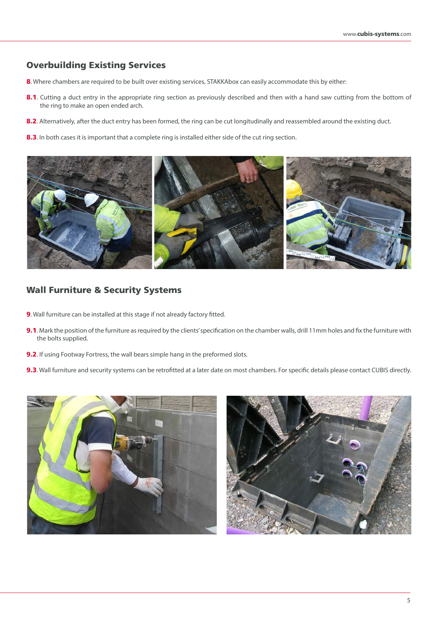## Overbuilding Existing Services

- 8. Where chambers are required to be built over existing services, STAKKAbox can easily accommodate this by either:
- 8.1. Cutting a duct entry in the appropriate ring section as previously described and then with a hand saw cutting from the bottom of the ring to make an open ended arch.
- 8.2. Alternatively, after the duct entry has been formed, the ring can be cut longitudinally and reassembled around the existing duct.
- 8.3. In both cases it is important that a complete ring is installed either side of the cut ring section.



#### Wall Furniture & Security Systems

- 9. Wall furniture can be installed at this stage if not already factory fitted.
- **9.1.** Mark the position of the furniture as required by the clients' specification on the chamber walls, drill 11mm holes and fix the furniture with the bolts supplied.
- **9.2.** If using Footway Fortress, the wall bears simple hang in the preformed slots.
- 9.3. Wall furniture and security systems can be retrofitted at a later date on most chambers. For specific details please contact CUBIS directly.



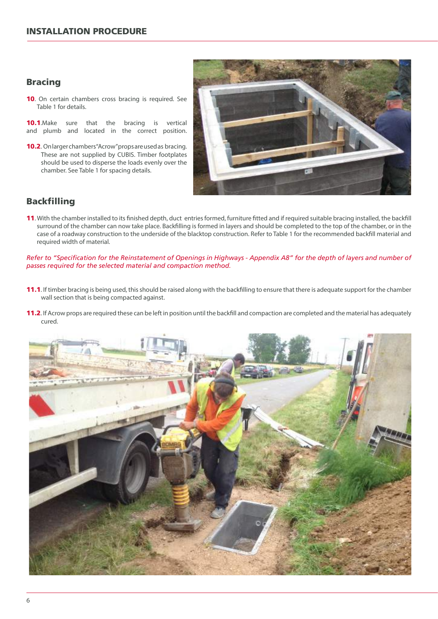#### Bracing

10. On certain chambers cross bracing is required. See Table 1 for details.

**10.1.**Make sure that the bracing is vertical and plumb and located in the correct position.

10.2. On larger chambers "Acrow" props are used as bracing. These are not supplied by CUBIS. Timber footplates should be used to disperse the loads evenly over the chamber. See Table 1 for spacing details.



## Backfilling

11. With the chamber installed to its finished depth, duct entries formed, furniture fitted and if required suitable bracing installed, the backfill surround of the chamber can now take place. Backfilling is formed in layers and should be completed to the top of the chamber, or in the case of a roadway construction to the underside of the blacktop construction. Refer to Table 1 for the recommended backfill material and required width of material.

*Refer to "Specification for the Reinstatement of Openings in Highways - Appendix A8" for the depth of layers and number of passes required for the selected material and compaction method.*

- 11.1. If timber bracing is being used, this should be raised along with the backfilling to ensure that there is adequate support for the chamber wall section that is being compacted against.
- 11.2. If Acrow props are required these can be left in position until the backfill and compaction are completed and the material has adequately cured.

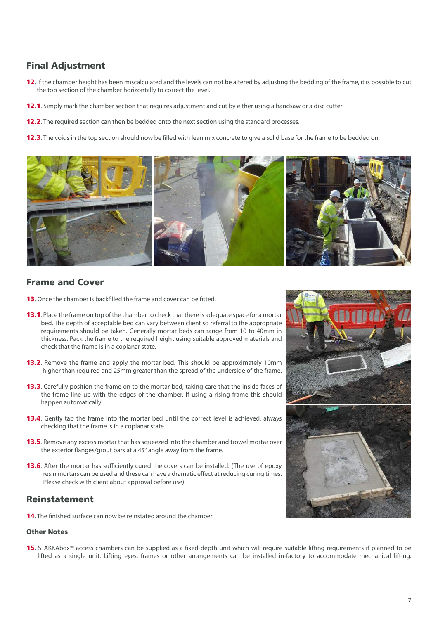# Final Adjustment

- 12. If the chamber height has been miscalculated and the levels can not be altered by adjusting the bedding of the frame, it is possible to cut the top section of the chamber horizontally to correct the level.
- 12.1. Simply mark the chamber section that requires adjustment and cut by either using a handsaw or a disc cutter.
- **12.2**. The required section can then be bedded onto the next section using the standard processes.
- **12.3**. The voids in the top section should now be filled with lean mix concrete to give a solid base for the frame to be bedded on.



#### Frame and Cover

- 13. Once the chamber is backfilled the frame and cover can be fitted.
- **13.1**. Place the frame on top of the chamber to check that there is adequate space for a mortar bed. The depth of acceptable bed can vary between client so referral to the appropriate requirements should be taken. Generally mortar beds can range from 10 to 40mm in thickness. Pack the frame to the required height using suitable approved materials and check that the frame is in a coplanar state.
- **13.2**. Remove the frame and apply the mortar bed. This should be approximately 10mm higher than required and 25mm greater than the spread of the underside of the frame.
- **13.3.** Carefully position the frame on to the mortar bed, taking care that the inside faces of the frame line up with the edges of the chamber. If using a rising frame this should happen automatically.
- **13.4.** Gently tap the frame into the mortar bed until the correct level is achieved, always checking that the frame is in a coplanar state.
- **13.5**. Remove any excess mortar that has squeezed into the chamber and trowel mortar over the exterior flanges/grout bars at a 45° angle away from the frame.
- **13.6.** After the mortar has sufficiently cured the covers can be installed. (The use of epoxy resin mortars can be used and these can have a dramatic effect at reducing curing times. Please check with client about approval before use).

#### Reinstatement

**14.** The finished surface can now be reinstated around the chamber.

#### Other Notes

15. STAKKAbox™ access chambers can be supplied as a fixed-depth unit which will require suitable lifting requirements if planned to be lifted as a single unit. Lifting eyes, frames or other arrangements can be installed in-factory to accommodate mechanical lifting.

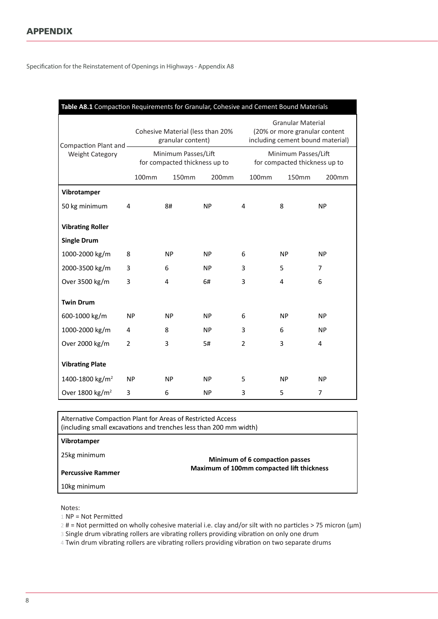Specification for the Reinstatement of Openings in Highways - Appendix A8

| Table A8.1 Compaction Requirements for Granular, Cohesive and Cement Bound Materials |                |                                                       |           |                                                                                               |       |                                                      |           |
|--------------------------------------------------------------------------------------|----------------|-------------------------------------------------------|-----------|-----------------------------------------------------------------------------------------------|-------|------------------------------------------------------|-----------|
| Compaction Plant and -                                                               |                | Cohesive Material (less than 20%<br>granular content) |           | <b>Granular Material</b><br>(20% or more granular content<br>including cement bound material) |       |                                                      |           |
| <b>Weight Category</b>                                                               |                | Minimum Passes/Lift<br>for compacted thickness up to  |           |                                                                                               |       | Minimum Passes/Lift<br>for compacted thickness up to |           |
|                                                                                      | 100mm          | <b>150mm</b>                                          | 200mm     |                                                                                               | 100mm | 150mm                                                | 200mm     |
| Vibrotamper                                                                          |                |                                                       |           |                                                                                               |       |                                                      |           |
| 50 kg minimum                                                                        | 4              | 8#                                                    | <b>NP</b> | 4                                                                                             |       | 8                                                    | <b>NP</b> |
| <b>Vibrating Roller</b>                                                              |                |                                                       |           |                                                                                               |       |                                                      |           |
| <b>Single Drum</b>                                                                   |                |                                                       |           |                                                                                               |       |                                                      |           |
| 1000-2000 kg/m                                                                       | 8              | <b>NP</b>                                             | <b>NP</b> | 6<br><b>NP</b><br><b>NP</b>                                                                   |       |                                                      |           |
| 2000-3500 kg/m                                                                       | 3              | 6                                                     | <b>NP</b> | 3                                                                                             |       | 5                                                    | 7         |
| Over 3500 kg/m                                                                       | 3              | 4                                                     | 6#        | 3                                                                                             |       | 4                                                    | 6         |
| <b>Twin Drum</b>                                                                     |                |                                                       |           |                                                                                               |       |                                                      |           |
| 600-1000 kg/m                                                                        | <b>NP</b>      | <b>NP</b>                                             | <b>NP</b> | 6                                                                                             |       | <b>NP</b>                                            | <b>NP</b> |
| 1000-2000 kg/m                                                                       | $\overline{4}$ | 8                                                     | <b>NP</b> | 3                                                                                             |       | 6                                                    | <b>NP</b> |
| Over 2000 kg/m                                                                       | $\overline{2}$ | 3                                                     | 5#        | $\overline{2}$                                                                                |       | 3                                                    | 4         |
| <b>Vibrating Plate</b>                                                               |                |                                                       |           |                                                                                               |       |                                                      |           |
| 1400-1800 kg/m <sup>2</sup>                                                          | <b>NP</b>      | <b>NP</b>                                             | <b>NP</b> | 5                                                                                             |       | <b>NP</b>                                            | <b>NP</b> |
| Over 1800 kg/m <sup>2</sup>                                                          | 3              | 6                                                     | <b>NP</b> | 3                                                                                             |       | 5                                                    | 7         |

Alternative Compaction Plant for Areas of Restricted Access (including small excavations and trenches less than 200 mm width) **Minimum of 6 compaction passes Maximum of 100mm compacted lift thickness Vibrotamper** 25kg minimum **Percussive Rammer** 10kg minimum

Notes:

1 NP = Not Permitted

2 # = Not permitted on wholly cohesive material i.e. clay and/or silt with no particles > 75 micron (μm)

3 Single drum vibrating rollers are vibrating rollers providing vibration on only one drum

4 Twin drum vibrating rollers are vibrating rollers providing vibration on two separate drums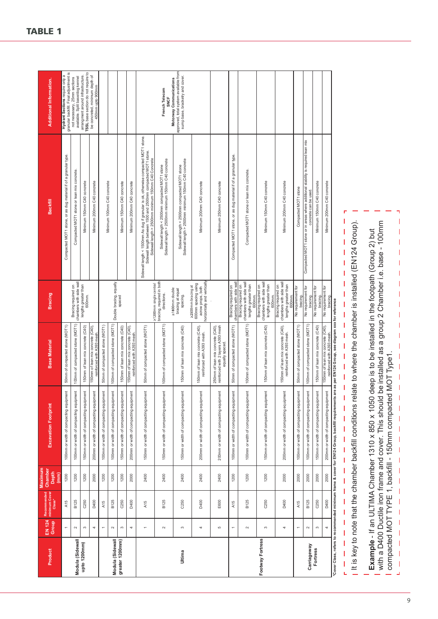| Product          | EN 124<br>Group          | Recommended<br>minimum Cover<br>$Class^*$ | <b>Maximum</b><br>Chamber<br>Depth<br>(mm | <b>Excavation Footprint</b>                                                                      | <b>Base Material</b>                                                                     | <b>Bracing</b>                                                                               | Backfill                                                                                                                                                                                                   | <b>Additional Information.</b>                                                                      |
|------------------|--------------------------|-------------------------------------------|-------------------------------------------|--------------------------------------------------------------------------------------------------|------------------------------------------------------------------------------------------|----------------------------------------------------------------------------------------------|------------------------------------------------------------------------------------------------------------------------------------------------------------------------------------------------------------|-----------------------------------------------------------------------------------------------------|
|                  | $\overline{\phantom{a}}$ | A15                                       | 1200                                      | 100mm or width of compacting equipment                                                           | 50mm of compacted stone (MOT1)                                                           |                                                                                              | Compacted MOT1 stone, or as dug material if of a granular type.                                                                                                                                            | granular backfill. Final adjustment is<br>Hydrant Sections require only a                           |
| Modula (Sidewall | $\sim$                   | B <sub>125</sub>                          | 1200                                      | hent<br>100mm or width of compacting equipm                                                      | 100mm of compacted stone (MOT1)                                                          | chambers with side wall<br>Bracing required on                                               | Compacted MOT1 stone or lean mix concrete.                                                                                                                                                                 | available. Split base/dog kennel<br>not necessary, 25mm sections                                    |
| upto 1200mm)     | $\infty$                 | C <sub>250</sub>                          | 1200                                      | 150mm or width of compacting equipment                                                           | 150mm of lean mix concrete (C40)                                                         | lengths greater than<br>600mm.                                                               | Minimum 150mm C40 concrete                                                                                                                                                                                 | TSSL base section do not require to<br>arrangment around infrastructure.                            |
|                  | 4                        | D400                                      | 2000                                      | lent<br>200mm or width of compacting equipm                                                      | 150mm of lean mix concrete (C40)<br>reinforced with A393 mesh.                           |                                                                                              | Minimum 200mm C40 concrete                                                                                                                                                                                 | be concreted, minimum depth of<br>450mm upto 900mm                                                  |
|                  | $\overline{\phantom{0}}$ | A15                                       | 1200                                      | hent<br>100mm or width of compacting equipm                                                      | 50mm of compacted stone (MOT1)                                                           |                                                                                              | Minimum 100mm C40 concrete                                                                                                                                                                                 |                                                                                                     |
| Modula (Sidewall | $\scriptstyle\sim$       | B125                                      | 1200                                      | lent<br>100mm or width of compacting equipm                                                      | 100mm of compacted stone (MOT1)                                                          | Double bracing, equally                                                                      |                                                                                                                                                                                                            |                                                                                                     |
| greater 1200mm)  | $\infty$                 | C250                                      | 1200                                      | lent<br>150mm or width of compacting equipm                                                      | 150mm of lean mix concrete (C40)                                                         | spaced                                                                                       | Minimum 150mm C40 concrete                                                                                                                                                                                 |                                                                                                     |
|                  | 4                        | D400                                      | 2000                                      | lent<br>200mm or width of compacting equipm                                                      | 150mm of lean mix concrete (C40),<br>reinforced with A393 mesh                           |                                                                                              | Minimum 200mm C40 concrete                                                                                                                                                                                 |                                                                                                     |
|                  | ٣                        | A15                                       | 2400                                      | lent<br>150mm or width of compacting equipm                                                      | 50mm of compacted stone (MOT1)                                                           | >1200mm single central                                                                       | Sidewall length < 1500mm As dug if granular is ok, otherwise compacted MOT1 stone.<br>Sidewall length between 1500 and 2500mm compacted MOT1 stone.<br>Sidewall length > 2500mm minimum 150mm C40 Concrete |                                                                                                     |
|                  | $\sim$                   | B125                                      | 2400                                      | lent<br>150mm or width of compacting equipm                                                      | 100mm of compacted stone (MOT1)                                                          | bracing, required in both<br>directions.                                                     | Sidewall length < 2500mm compacted MOT1 stone<br>Sidewall length > 2500mm minimum 150mm C40 concrete                                                                                                       | French Telecom<br><b>SNCF</b>                                                                       |
| Ultima           | S                        | C <sub>250</sub>                          | 2400                                      | ent<br>150mm or width of compacting equipm                                                       | 150mm of lean mix concrete (C40)                                                         | ≥1800mm double<br>bracing at equal<br>spacing.                                               | Sidewall length < 2500mm compacted MOT1 stone<br>Sidewall length > 2500mm minimum 150mm C40 concrete                                                                                                       | approved, total system available from<br>sump base, bracketry and cover.<br>Motorway Communications |
|                  | $\overline{ }$           | D400                                      | 2400                                      | tent<br>200mm or width of compacting equipm                                                      | 150mm of lean mix concrete (C40),<br>reinforced with A393 mesh.                          | orizontally and vertically<br>600mm spacing using<br>≥2500mm bracing at<br>acrow props, both | Minimum 200mm C40 concrete                                                                                                                                                                                 |                                                                                                     |
|                  | Б                        | E600                                      | 2400                                      | lent<br>200mm or width of compacting equipm                                                      | reinforced with 2 layers A393 mesh<br>250mm of lean mix concrete (C40)<br>equally spaced |                                                                                              | Minimum 250mm C40 concrete                                                                                                                                                                                 |                                                                                                     |
|                  | $\leftarrow$             | A15                                       | 1200                                      | lent<br>100mm or width of compacting equipm                                                      | 50mm of compacted stone (MOT1)                                                           | chambers with side wall<br>Bracing required on                                               | Compacted MOT1 stone, or as dug material if of a granular type.                                                                                                                                            |                                                                                                     |
|                  | $\sim$                   | B125                                      | 1200                                      | ent<br>100mm or width of compacting equipm                                                       | 100mm of compacted stone (MOT1)                                                          | chambers with side wall<br>Bracing required on<br>lengths greater than<br>600mm              | Compacted MOT1 stone or lean mix concrete.                                                                                                                                                                 |                                                                                                     |
| Footway Fortress | c                        | C250                                      | 1200                                      | hent<br>150mm or width of compacting equipm                                                      | 150mm of lean mix concrete (C40)                                                         | chambers with side wall<br>Bracing required on<br>lengths greater than<br>600mm              | Minimum 150mm C40 concrete                                                                                                                                                                                 |                                                                                                     |
|                  | 4                        | D400                                      | 2000                                      | 200mm or width of compacting equipment                                                           | 150mm of lean mix concrete (C40),<br>reinforced with A393 mesh.                          | chambers with side wall<br>Bracing required on<br>lengths greater than<br>600mm.             | Minimum 200mm C40 concrete                                                                                                                                                                                 |                                                                                                     |
|                  | $\overline{\phantom{m}}$ | A15                                       | 2000                                      | 100mm or width of compacting equipment                                                           | 50mm of compacted stone (MOT1)                                                           | No requirement for<br>bracing.                                                               | Compacted MOT1 stone                                                                                                                                                                                       |                                                                                                     |
| Carriageway      | $\scriptstyle\sim$       | B125                                      | 2000                                      | hent<br>100mm or width of compacting equipm                                                      | 100mm of compacted stone (MOT1)                                                          | No requirement for<br>bracing.                                                               | Compacted MOT1 stone or in areas where additional stability is required lean mix<br>concrete can be used                                                                                                   |                                                                                                     |
| Fortress         | $\infty$                 | C <sub>250</sub>                          | 2000                                      | 150mm or width of compacting equipment                                                           | 150mm of lean mix concrete (C40)                                                         | No requirement for<br>bracing.                                                               | Minimum 150mm C40 concrete                                                                                                                                                                                 |                                                                                                     |
|                  | 4                        | D400                                      | 2000                                      | 200mm or width of compacting equipment                                                           | 150mm of lean mix concrete (C40),<br>reinforced with A393 mesh                           | No requirement for                                                                           | Minimum 200mm C40 concrete                                                                                                                                                                                 |                                                                                                     |
|                  |                          |                                           |                                           | "Cover Class, refers to recommended minimum frame & cover for EM124 Group, backfill requirements | are as per EN124 Group, see diagram xxx for reference                                    |                                                                                              |                                                                                                                                                                                                            |                                                                                                     |

TABLE 1

It is key to note that the chamber backfill conditions relate to where the chamber is installed (EN124 Group).

I it is key to note that the chamber backfill conditions relate to where the chamber is installed (EN124 Group).

 $\begin{array}{c} 1 \\ 1 \\ 1 \end{array}$ 

 $\overline{\phantom{a}}$ 

 $\overline{1}$ 

 $\overline{1}$ 

 $\overline{\phantom{a}}$ 

 $\overline{1}$ 

 $\overline{\phantom{a}}$ 

 $\overline{1}$ 

 $\begin{array}{c} \begin{array}{c} \hline \end{array} \end{array}$ 

 $\overline{1}$ 

 $\overline{\phantom{a}}$ 

 $\overline{1}$  $\overline{1}$ 

 $\overline{1}$ 

 $\overline{1}$  $\begin{array}{c} \hline \end{array}$ 

 $\overline{1}$ 

 $\overline{\phantom{a}}$ 

 $\frac{1}{1}$ 

Ï  $\overline{1}$ 

 $\overline{1}$  $\overline{1}$ 

Ï

 $\overline{\phantom{a}}$ Ï  $\overline{1}$  $\begin{array}{c} \rule{0pt}{2.5ex} \rule{0pt}{2.5ex} \rule{0pt}{2.5ex} \rule{0pt}{2.5ex} \rule{0pt}{2.5ex} \rule{0pt}{2.5ex} \rule{0pt}{2.5ex} \rule{0pt}{2.5ex} \rule{0pt}{2.5ex} \rule{0pt}{2.5ex} \rule{0pt}{2.5ex} \rule{0pt}{2.5ex} \rule{0pt}{2.5ex} \rule{0pt}{2.5ex} \rule{0pt}{2.5ex} \rule{0pt}{2.5ex} \rule{0pt}{2.5ex} \rule{0pt}{2.5ex} \rule{0pt}{2.5ex} \rule{0$ 

 $\overline{1}$  $\overline{1}$  $\overline{1}$ 

Ĺ,

**Example** - If an ULTIMA Chamber 1310 x 850 x 1050 deep is to be installed in the footpath (Group 2) but with a D400 Ductile iron frame and cover. This should be installed as a group 2 Chamber i.e. base - 100mm

**Example** - If an ULTIMA Chamber 1310 x 850 x 1050 deep is to be installed in the footpath (Group 2) but<br>with a D400 Ductile iron frame and cover. This should be installed as a group 2 Chamber i.e. base - 100mm

compacted MOT TYPE 1, backfill - 150mm compacted MOT Type1.

compacted MOT TYPE 1, backfill - 150mm compacted MOT Type1.

F  $\begin{array}{c} \hline \end{array}$ 

 $\overline{1}$  $\overline{1}$ 

Ï

 $\overline{1}$ 

 $\overline{1}$ 

 $\overline{\phantom{a}}$ 

 $\overline{1}$ 

 $\overline{\phantom{a}}$ 

 $\overline{1}$ 

 $\overline{\phantom{a}}$ 

 $\overline{1}$  $\overline{1}$ 

 $\overline{1}$ 

 $\frac{1}{1}$ 

 $\frac{1}{1}$ 

 $\overline{1}$ 

 $\overline{1}$ 

 $\frac{1}{1}$ 

 $\overline{1}$ 

 $\begin{array}{c} 1 \\ 1 \\ 1 \end{array}$ 

 $\overline{1}$ 

 $\begin{array}{c} 1 \\ 1 \\ 1 \end{array}$ 

 $\begin{array}{c} 1 \\ 1 \\ 1 \\ 1 \end{array}$ 

L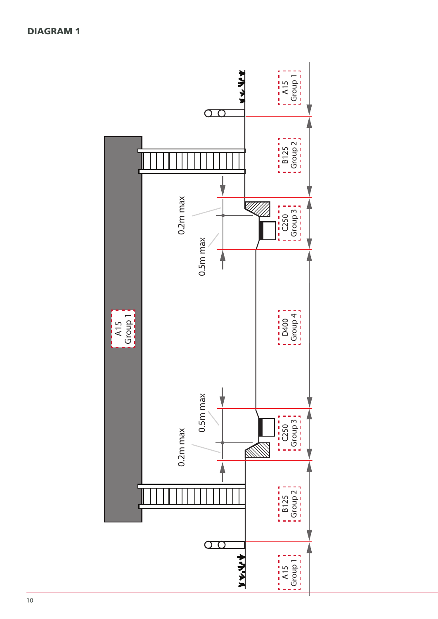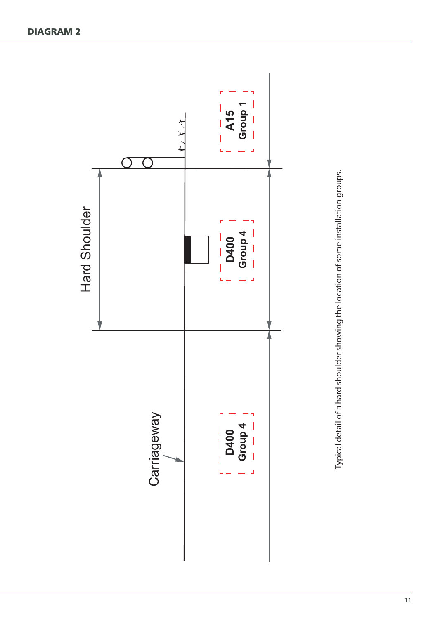

Typical detail of a hard shoulder showing the location of some installation groups. Typical detail of a hard shoulder showing the location of some installation groups.